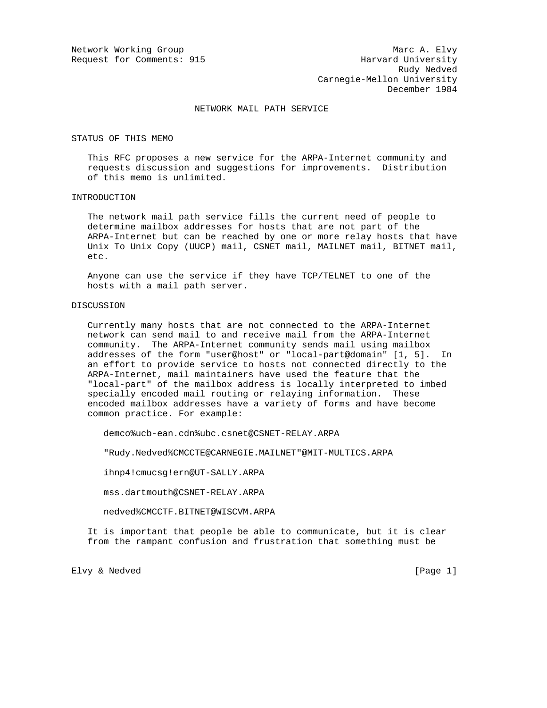## NETWORK MAIL PATH SERVICE

STATUS OF THIS MEMO

 This RFC proposes a new service for the ARPA-Internet community and requests discussion and suggestions for improvements. Distribution of this memo is unlimited.

## INTRODUCTION

 The network mail path service fills the current need of people to determine mailbox addresses for hosts that are not part of the ARPA-Internet but can be reached by one or more relay hosts that have Unix To Unix Copy (UUCP) mail, CSNET mail, MAILNET mail, BITNET mail, etc.

 Anyone can use the service if they have TCP/TELNET to one of the hosts with a mail path server.

# DISCUSSION

 Currently many hosts that are not connected to the ARPA-Internet network can send mail to and receive mail from the ARPA-Internet community. The ARPA-Internet community sends mail using mailbox addresses of the form "user@host" or "local-part@domain" [1, 5]. In an effort to provide service to hosts not connected directly to the ARPA-Internet, mail maintainers have used the feature that the "local-part" of the mailbox address is locally interpreted to imbed specially encoded mail routing or relaying information. These encoded mailbox addresses have a variety of forms and have become common practice. For example:

demco%ucb-ean.cdn%ubc.csnet@CSNET-RELAY.ARPA

"Rudy.Nedved%CMCCTE@CARNEGIE.MAILNET"@MIT-MULTICS.ARPA

ihnp4!cmucsg!ern@UT-SALLY.ARPA

mss.dartmouth@CSNET-RELAY.ARPA

nedved%CMCCTF.BITNET@WISCVM.ARPA

 It is important that people be able to communicate, but it is clear from the rampant confusion and frustration that something must be

Elvy & Nedved [Page 1]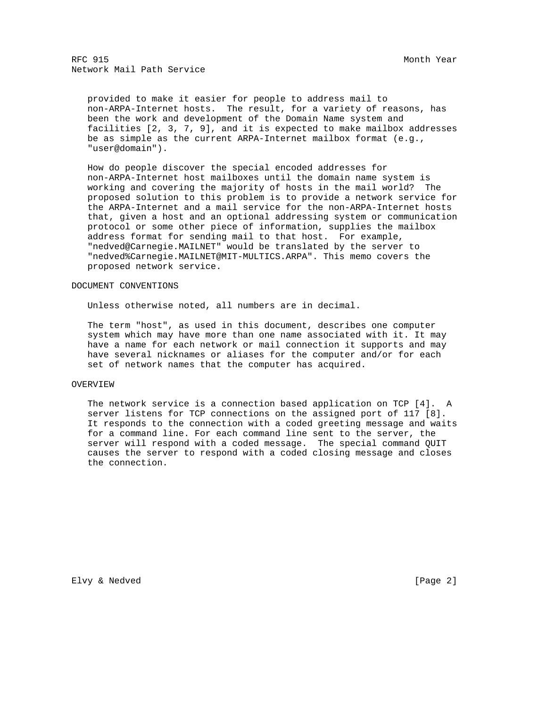provided to make it easier for people to address mail to non-ARPA-Internet hosts. The result, for a variety of reasons, has been the work and development of the Domain Name system and facilities [2, 3, 7, 9], and it is expected to make mailbox addresses be as simple as the current ARPA-Internet mailbox format (e.g., "user@domain").

 How do people discover the special encoded addresses for non-ARPA-Internet host mailboxes until the domain name system is working and covering the majority of hosts in the mail world? The proposed solution to this problem is to provide a network service for the ARPA-Internet and a mail service for the non-ARPA-Internet hosts that, given a host and an optional addressing system or communication protocol or some other piece of information, supplies the mailbox address format for sending mail to that host. For example, "nedved@Carnegie.MAILNET" would be translated by the server to "nedved%Carnegie.MAILNET@MIT-MULTICS.ARPA". This memo covers the proposed network service.

## DOCUMENT CONVENTIONS

Unless otherwise noted, all numbers are in decimal.

 The term "host", as used in this document, describes one computer system which may have more than one name associated with it. It may have a name for each network or mail connection it supports and may have several nicknames or aliases for the computer and/or for each set of network names that the computer has acquired.

## OVERVIEW

 The network service is a connection based application on TCP [4]. A server listens for TCP connections on the assigned port of 117 [8]. It responds to the connection with a coded greeting message and waits for a command line. For each command line sent to the server, the server will respond with a coded message. The special command QUIT causes the server to respond with a coded closing message and closes the connection.

Elvy & Nedved [Page 2]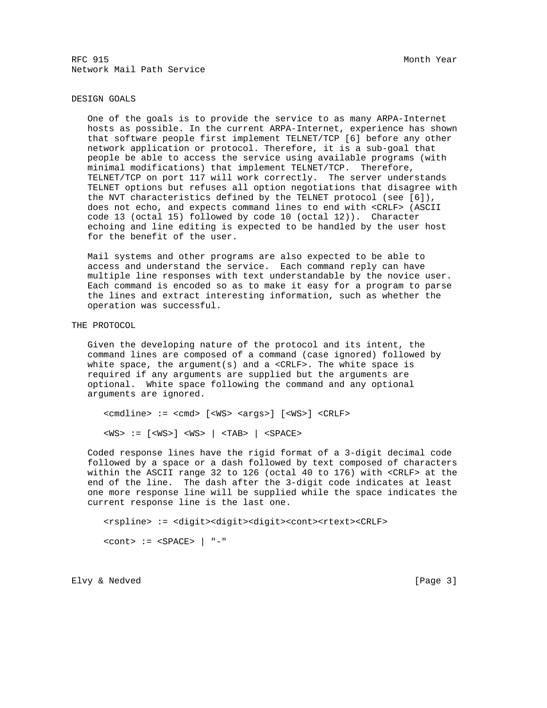## DESIGN GOALS

 One of the goals is to provide the service to as many ARPA-Internet hosts as possible. In the current ARPA-Internet, experience has shown that software people first implement TELNET/TCP [6] before any other network application or protocol. Therefore, it is a sub-goal that people be able to access the service using available programs (with minimal modifications) that implement TELNET/TCP. Therefore, TELNET/TCP on port 117 will work correctly. The server understands TELNET options but refuses all option negotiations that disagree with the NVT characteristics defined by the TELNET protocol (see [6]), does not echo, and expects command lines to end with <CRLF> (ASCII code 13 (octal 15) followed by code 10 (octal 12)). Character echoing and line editing is expected to be handled by the user host for the benefit of the user.

 Mail systems and other programs are also expected to be able to access and understand the service. Each command reply can have multiple line responses with text understandable by the novice user. Each command is encoded so as to make it easy for a program to parse the lines and extract interesting information, such as whether the operation was successful.

THE PROTOCOL

 Given the developing nature of the protocol and its intent, the command lines are composed of a command (case ignored) followed by white space, the argument(s) and a <CRLF>. The white space is required if any arguments are supplied but the arguments are optional. White space following the command and any optional arguments are ignored.

 <cmdline> := <cmd> [<WS> <args>] [<WS>] <CRLF> <WS> := [<WS>] <WS> | <TAB> | <SPACE>

 Coded response lines have the rigid format of a 3-digit decimal code followed by a space or a dash followed by text composed of characters within the ASCII range 32 to 126 (octal 40 to 176) with <CRLF> at the end of the line. The dash after the 3-digit code indicates at least one more response line will be supplied while the space indicates the current response line is the last one.

 <rspline> := <digit><digit><digit><cont><rtext><CRLF>  $<$ cont> :=  $<$ SPACE> | "-"

Elvy & Nedved [Page 3]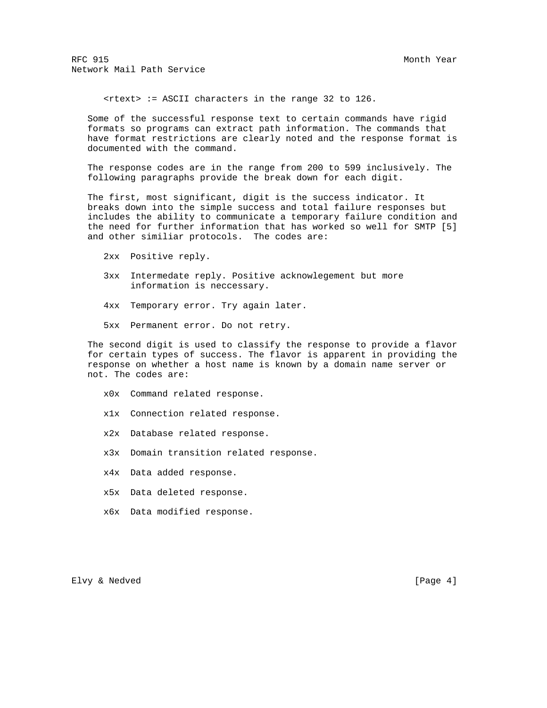<rtext> := ASCII characters in the range 32 to 126.

 Some of the successful response text to certain commands have rigid formats so programs can extract path information. The commands that have format restrictions are clearly noted and the response format is documented with the command.

 The response codes are in the range from 200 to 599 inclusively. The following paragraphs provide the break down for each digit.

 The first, most significant, digit is the success indicator. It breaks down into the simple success and total failure responses but includes the ability to communicate a temporary failure condition and the need for further information that has worked so well for SMTP [5] and other similiar protocols. The codes are:

2xx Positive reply.

- 3xx Intermedate reply. Positive acknowlegement but more information is neccessary.
- 4xx Temporary error. Try again later.
- 5xx Permanent error. Do not retry.

 The second digit is used to classify the response to provide a flavor for certain types of success. The flavor is apparent in providing the response on whether a host name is known by a domain name server or not. The codes are:

- x0x Command related response.
- x1x Connection related response.
- x2x Database related response.
- x3x Domain transition related response.
- x4x Data added response.
- x5x Data deleted response.
- x6x Data modified response.

Elvy & Nedved [Page 4]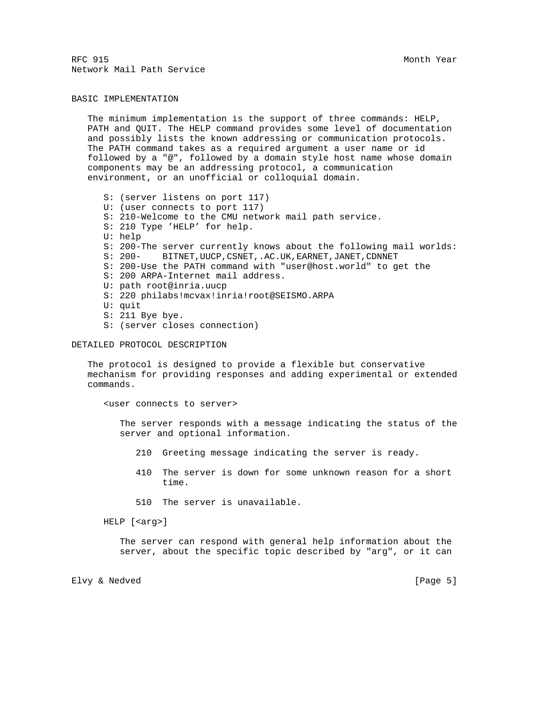## BASIC IMPLEMENTATION

 The minimum implementation is the support of three commands: HELP, PATH and QUIT. The HELP command provides some level of documentation and possibly lists the known addressing or communication protocols. The PATH command takes as a required argument a user name or id followed by a "@", followed by a domain style host name whose domain components may be an addressing protocol, a communication environment, or an unofficial or colloquial domain.

 S: (server listens on port 117) U: (user connects to port 117) S: 210-Welcome to the CMU network mail path service. S: 210 Type 'HELP' for help. U: help S: 200-The server currently knows about the following mail worlds: S: 200- BITNET,UUCP,CSNET,.AC.UK,EARNET,JANET,CDNNET S: 200-Use the PATH command with "user@host.world" to get the S: 200 ARPA-Internet mail address. U: path root@inria.uucp S: 220 philabs!mcvax!inria!root@SEISMO.ARPA U: quit S: 211 Bye bye. S: (server closes connection)

## DETAILED PROTOCOL DESCRIPTION

 The protocol is designed to provide a flexible but conservative mechanism for providing responses and adding experimental or extended commands.

<user connects to server>

 The server responds with a message indicating the status of the server and optional information.

- 210 Greeting message indicating the server is ready.
- 410 The server is down for some unknown reason for a short time.
- 510 The server is unavailable.

HELP [<arg>]

 The server can respond with general help information about the server, about the specific topic described by "arg", or it can

Elvy & Nedved [Page 5]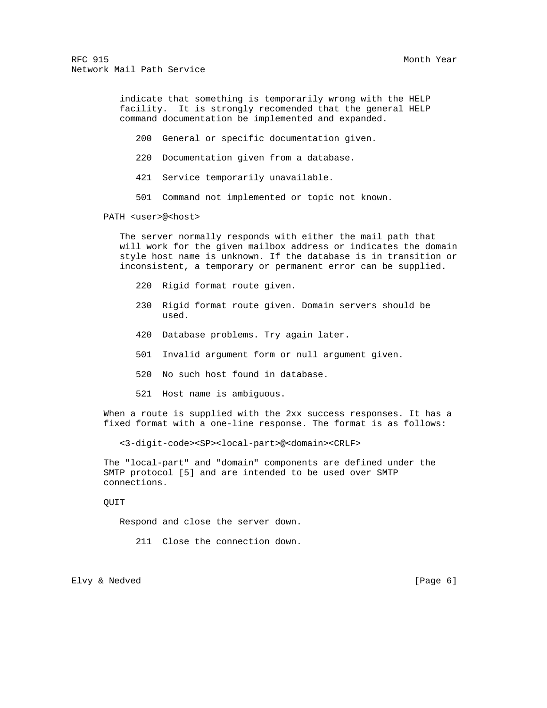> indicate that something is temporarily wrong with the HELP facility. It is strongly recomended that the general HELP command documentation be implemented and expanded.

200 General or specific documentation given.

220 Documentation given from a database.

421 Service temporarily unavailable.

501 Command not implemented or topic not known.

PATH <user>@<host>

 The server normally responds with either the mail path that will work for the given mailbox address or indicates the domain style host name is unknown. If the database is in transition or inconsistent, a temporary or permanent error can be supplied.

- 220 Rigid format route given.
- 230 Rigid format route given. Domain servers should be used.
- 420 Database problems. Try again later.
- 501 Invalid argument form or null argument given.
- 520 No such host found in database.
- 521 Host name is ambiguous.

 When a route is supplied with the 2xx success responses. It has a fixed format with a one-line response. The format is as follows:

<3-digit-code><SP><local-part>@<domain><CRLF>

 The "local-part" and "domain" components are defined under the SMTP protocol [5] and are intended to be used over SMTP connections.

QUIT

Respond and close the server down.

211 Close the connection down.

Elvy & Nedved [Page 6]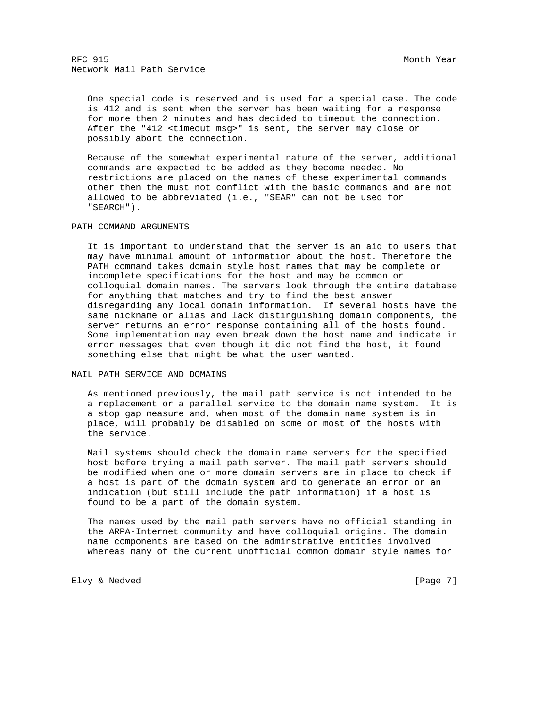One special code is reserved and is used for a special case. The code is 412 and is sent when the server has been waiting for a response for more then 2 minutes and has decided to timeout the connection. After the "412 <timeout msg>" is sent, the server may close or possibly abort the connection.

 Because of the somewhat experimental nature of the server, additional commands are expected to be added as they become needed. No restrictions are placed on the names of these experimental commands other then the must not conflict with the basic commands and are not allowed to be abbreviated (i.e., "SEAR" can not be used for "SEARCH").

## PATH COMMAND ARGUMENTS

 It is important to understand that the server is an aid to users that may have minimal amount of information about the host. Therefore the PATH command takes domain style host names that may be complete or incomplete specifications for the host and may be common or colloquial domain names. The servers look through the entire database for anything that matches and try to find the best answer disregarding any local domain information. If several hosts have the same nickname or alias and lack distinguishing domain components, the server returns an error response containing all of the hosts found. Some implementation may even break down the host name and indicate in error messages that even though it did not find the host, it found something else that might be what the user wanted.

MAIL PATH SERVICE AND DOMAINS

 As mentioned previously, the mail path service is not intended to be a replacement or a parallel service to the domain name system. It is a stop gap measure and, when most of the domain name system is in place, will probably be disabled on some or most of the hosts with the service.

 Mail systems should check the domain name servers for the specified host before trying a mail path server. The mail path servers should be modified when one or more domain servers are in place to check if a host is part of the domain system and to generate an error or an indication (but still include the path information) if a host is found to be a part of the domain system.

 The names used by the mail path servers have no official standing in the ARPA-Internet community and have colloquial origins. The domain name components are based on the adminstrative entities involved whereas many of the current unofficial common domain style names for

Elvy & Nedved [Page 7]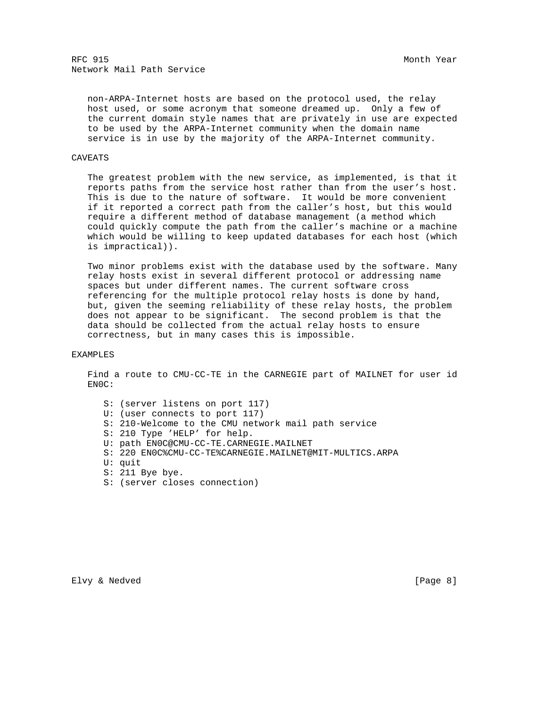non-ARPA-Internet hosts are based on the protocol used, the relay host used, or some acronym that someone dreamed up. Only a few of the current domain style names that are privately in use are expected to be used by the ARPA-Internet community when the domain name service is in use by the majority of the ARPA-Internet community.

## CAVEATS

 The greatest problem with the new service, as implemented, is that it reports paths from the service host rather than from the user's host. This is due to the nature of software. It would be more convenient if it reported a correct path from the caller's host, but this would require a different method of database management (a method which could quickly compute the path from the caller's machine or a machine which would be willing to keep updated databases for each host (which is impractical)).

 Two minor problems exist with the database used by the software. Many relay hosts exist in several different protocol or addressing name spaces but under different names. The current software cross referencing for the multiple protocol relay hosts is done by hand, but, given the seeming reliability of these relay hosts, the problem does not appear to be significant. The second problem is that the data should be collected from the actual relay hosts to ensure correctness, but in many cases this is impossible.

#### EXAMPLES

 Find a route to CMU-CC-TE in the CARNEGIE part of MAILNET for user id EN0C:

 S: (server listens on port 117) U: (user connects to port 117) S: 210-Welcome to the CMU network mail path service S: 210 Type 'HELP' for help. U: path EN0C@CMU-CC-TE.CARNEGIE.MAILNET S: 220 EN0C%CMU-CC-TE%CARNEGIE.MAILNET@MIT-MULTICS.ARPA U: quit S: 211 Bye bye. S: (server closes connection)

Elvy & Nedved [Page 8]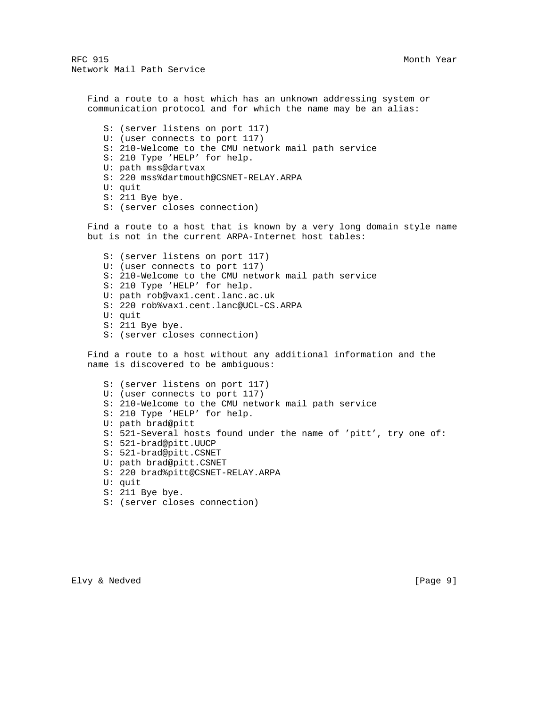Find a route to a host which has an unknown addressing system or communication protocol and for which the name may be an alias:

 S: (server listens on port 117) U: (user connects to port 117) S: 210-Welcome to the CMU network mail path service S: 210 Type 'HELP' for help. U: path mss@dartvax S: 220 mss%dartmouth@CSNET-RELAY.ARPA U: quit S: 211 Bye bye. S: (server closes connection)

 Find a route to a host that is known by a very long domain style name but is not in the current ARPA-Internet host tables:

 S: (server listens on port 117) U: (user connects to port 117) S: 210-Welcome to the CMU network mail path service S: 210 Type 'HELP' for help. U: path rob@vax1.cent.lanc.ac.uk S: 220 rob%vax1.cent.lanc@UCL-CS.ARPA U: quit S: 211 Bye bye. S: (server closes connection)

 Find a route to a host without any additional information and the name is discovered to be ambiguous:

 S: (server listens on port 117) U: (user connects to port 117) S: 210-Welcome to the CMU network mail path service S: 210 Type 'HELP' for help. U: path brad@pitt S: 521-Several hosts found under the name of 'pitt', try one of: S: 521-brad@pitt.UUCP S: 521-brad@pitt.CSNET U: path brad@pitt.CSNET S: 220 brad%pitt@CSNET-RELAY.ARPA U: quit S: 211 Bye bye. S: (server closes connection)

Elvy & Nedved [Page 9]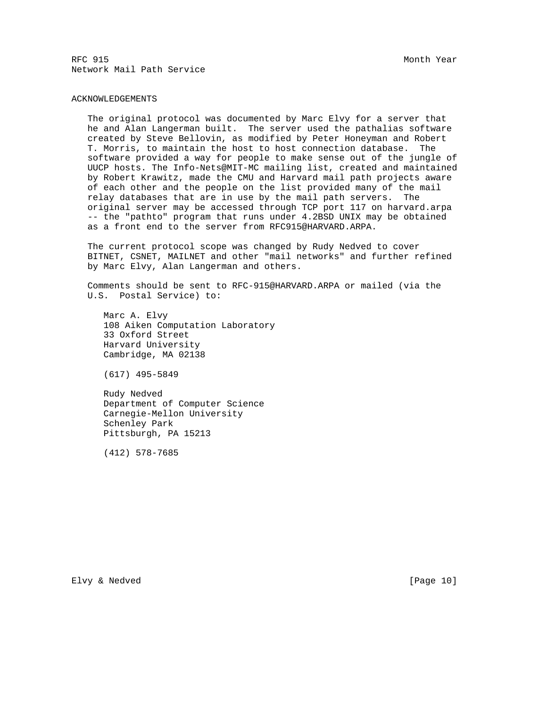## ACKNOWLEDGEMENTS

 The original protocol was documented by Marc Elvy for a server that he and Alan Langerman built. The server used the pathalias software created by Steve Bellovin, as modified by Peter Honeyman and Robert T. Morris, to maintain the host to host connection database. The software provided a way for people to make sense out of the jungle of UUCP hosts. The Info-Nets@MIT-MC mailing list, created and maintained by Robert Krawitz, made the CMU and Harvard mail path projects aware of each other and the people on the list provided many of the mail relay databases that are in use by the mail path servers. The original server may be accessed through TCP port 117 on harvard.arpa -- the "pathto" program that runs under 4.2BSD UNIX may be obtained as a front end to the server from RFC915@HARVARD.ARPA.

 The current protocol scope was changed by Rudy Nedved to cover BITNET, CSNET, MAILNET and other "mail networks" and further refined by Marc Elvy, Alan Langerman and others.

 Comments should be sent to RFC-915@HARVARD.ARPA or mailed (via the U.S. Postal Service) to:

 Marc A. Elvy 108 Aiken Computation Laboratory 33 Oxford Street Harvard University Cambridge, MA 02138

(617) 495-5849

 Rudy Nedved Department of Computer Science Carnegie-Mellon University Schenley Park Pittsburgh, PA 15213

(412) 578-7685